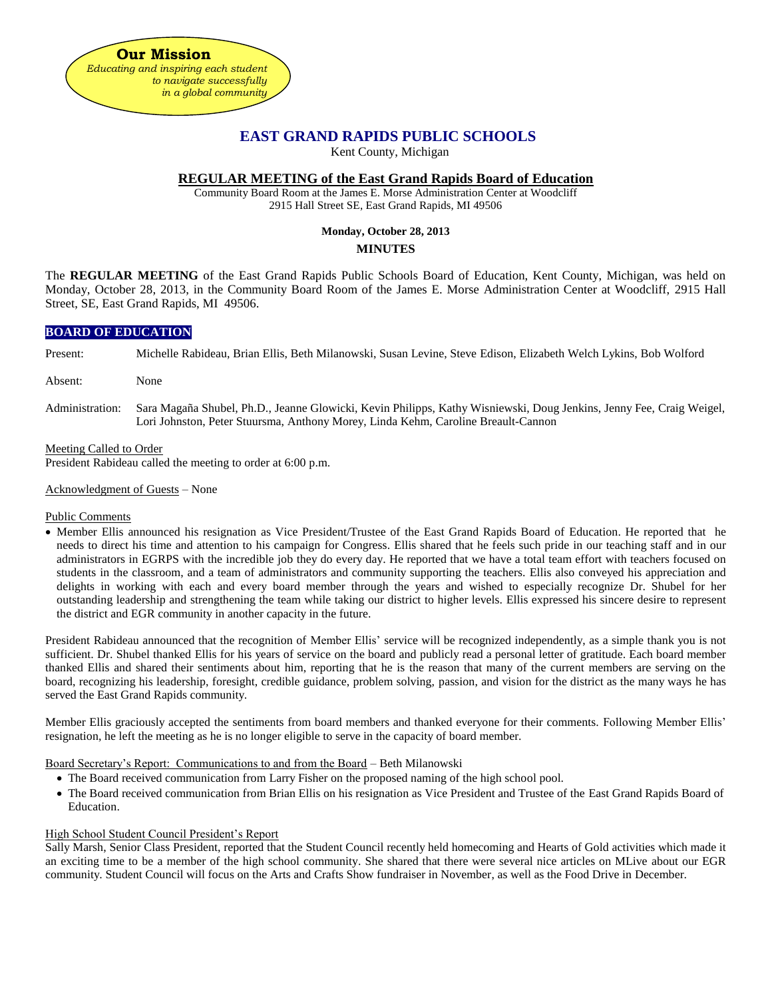

# **EAST GRAND RAPIDS PUBLIC SCHOOLS**

Kent County, Michigan

## **REGULAR MEETING of the East Grand Rapids Board of Education**

Community Board Room at the James E. Morse Administration Center at Woodcliff 2915 Hall Street SE, East Grand Rapids, MI 49506

### **Monday, October 28, 2013**

## **MINUTES**

The **REGULAR MEETING** of the East Grand Rapids Public Schools Board of Education, Kent County, Michigan, was held on Monday, October 28, 2013, in the Community Board Room of the James E. Morse Administration Center at Woodcliff, 2915 Hall Street, SE, East Grand Rapids, MI 49506.

## **BOARD OF EDUCATION**

Present: Michelle Rabideau, Brian Ellis, Beth Milanowski, Susan Levine, Steve Edison, Elizabeth Welch Lykins, Bob Wolford

- Absent: None
- Administration: Sara Magaña Shubel, Ph.D., Jeanne Glowicki, Kevin Philipps, Kathy Wisniewski, Doug Jenkins, Jenny Fee, Craig Weigel, Lori Johnston, Peter Stuursma, Anthony Morey, Linda Kehm, Caroline Breault-Cannon

#### Meeting Called to Order

President Rabideau called the meeting to order at 6:00 p.m.

#### Acknowledgment of Guests – None

### Public Comments

• Member Ellis announced his resignation as Vice President/Trustee of the East Grand Rapids Board of Education. He reported that he needs to direct his time and attention to his campaign for Congress. Ellis shared that he feels such pride in our teaching staff and in our administrators in EGRPS with the incredible job they do every day. He reported that we have a total team effort with teachers focused on students in the classroom, and a team of administrators and community supporting the teachers. Ellis also conveyed his appreciation and delights in working with each and every board member through the years and wished to especially recognize Dr. Shubel for her outstanding leadership and strengthening the team while taking our district to higher levels. Ellis expressed his sincere desire to represent the district and EGR community in another capacity in the future.

President Rabideau announced that the recognition of Member Ellis' service will be recognized independently, as a simple thank you is not sufficient. Dr. Shubel thanked Ellis for his years of service on the board and publicly read a personal letter of gratitude. Each board member thanked Ellis and shared their sentiments about him, reporting that he is the reason that many of the current members are serving on the board, recognizing his leadership, foresight, credible guidance, problem solving, passion, and vision for the district as the many ways he has served the East Grand Rapids community.

Member Ellis graciously accepted the sentiments from board members and thanked everyone for their comments. Following Member Ellis' resignation, he left the meeting as he is no longer eligible to serve in the capacity of board member.

Board Secretary's Report: Communications to and from the Board – Beth Milanowski

- The Board received communication from Larry Fisher on the proposed naming of the high school pool.
- The Board received communication from Brian Ellis on his resignation as Vice President and Trustee of the East Grand Rapids Board of Education.

### High School Student Council President's Report

Sally Marsh, Senior Class President, reported that the Student Council recently held homecoming and Hearts of Gold activities which made it an exciting time to be a member of the high school community. She shared that there were several nice articles on MLive about our EGR community. Student Council will focus on the Arts and Crafts Show fundraiser in November, as well as the Food Drive in December.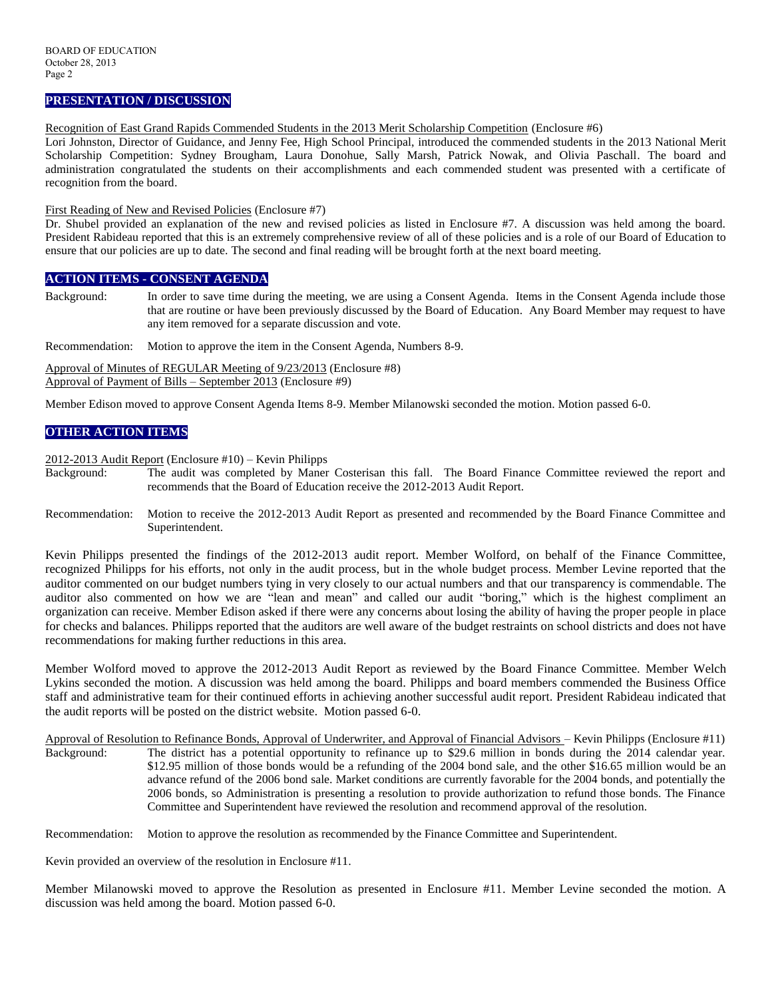## **PRESENTATION / DISCUSSION**

Recognition of East Grand Rapids Commended Students in the 2013 Merit Scholarship Competition (Enclosure #6)

Lori Johnston, Director of Guidance, and Jenny Fee, High School Principal, introduced the commended students in the 2013 National Merit Scholarship Competition: Sydney Brougham, Laura Donohue, Sally Marsh, Patrick Nowak, and Olivia Paschall. The board and administration congratulated the students on their accomplishments and each commended student was presented with a certificate of recognition from the board.

#### First Reading of New and Revised Policies (Enclosure #7)

Dr. Shubel provided an explanation of the new and revised policies as listed in Enclosure #7. A discussion was held among the board. President Rabideau reported that this is an extremely comprehensive review of all of these policies and is a role of our Board of Education to ensure that our policies are up to date. The second and final reading will be brought forth at the next board meeting.

### **ACTION ITEMS - CONSENT AGENDA**

Background: In order to save time during the meeting, we are using a Consent Agenda. Items in the Consent Agenda include those that are routine or have been previously discussed by the Board of Education. Any Board Member may request to have any item removed for a separate discussion and vote.

Recommendation: Motion to approve the item in the Consent Agenda, Numbers 8-9.

Approval of Minutes of REGULAR Meeting of 9/23/2013 (Enclosure #8) Approval of Payment of Bills – September 2013 (Enclosure #9)

Member Edison moved to approve Consent Agenda Items 8-9. Member Milanowski seconded the motion. Motion passed 6-0.

## **OTHER ACTION ITEMS**

2012-2013 Audit Report (Enclosure #10) – Kevin Philipps

- Background: The audit was completed by Maner Costerisan this fall. The Board Finance Committee reviewed the report and recommends that the Board of Education receive the 2012-2013 Audit Report.
- Recommendation: Motion to receive the 2012-2013 Audit Report as presented and recommended by the Board Finance Committee and Superintendent.

Kevin Philipps presented the findings of the 2012-2013 audit report. Member Wolford, on behalf of the Finance Committee, recognized Philipps for his efforts, not only in the audit process, but in the whole budget process. Member Levine reported that the auditor commented on our budget numbers tying in very closely to our actual numbers and that our transparency is commendable. The auditor also commented on how we are "lean and mean" and called our audit "boring," which is the highest compliment an organization can receive. Member Edison asked if there were any concerns about losing the ability of having the proper people in place for checks and balances. Philipps reported that the auditors are well aware of the budget restraints on school districts and does not have recommendations for making further reductions in this area.

Member Wolford moved to approve the 2012-2013 Audit Report as reviewed by the Board Finance Committee. Member Welch Lykins seconded the motion. A discussion was held among the board. Philipps and board members commended the Business Office staff and administrative team for their continued efforts in achieving another successful audit report. President Rabideau indicated that the audit reports will be posted on the district website. Motion passed 6-0.

Approval of Resolution to Refinance Bonds, Approval of Underwriter, and Approval of Financial Advisors – Kevin Philipps (Enclosure #11) Background: The district has a potential opportunity to refinance up to \$29.6 million in bonds during the 2014 calendar year. \$12.95 million of those bonds would be a refunding of the 2004 bond sale, and the other \$16.65 million would be an advance refund of the 2006 bond sale. Market conditions are currently favorable for the 2004 bonds, and potentially the 2006 bonds, so Administration is presenting a resolution to provide authorization to refund those bonds. The Finance Committee and Superintendent have reviewed the resolution and recommend approval of the resolution.

Recommendation: Motion to approve the resolution as recommended by the Finance Committee and Superintendent.

Kevin provided an overview of the resolution in Enclosure #11.

Member Milanowski moved to approve the Resolution as presented in Enclosure #11. Member Levine seconded the motion. A discussion was held among the board. Motion passed 6-0.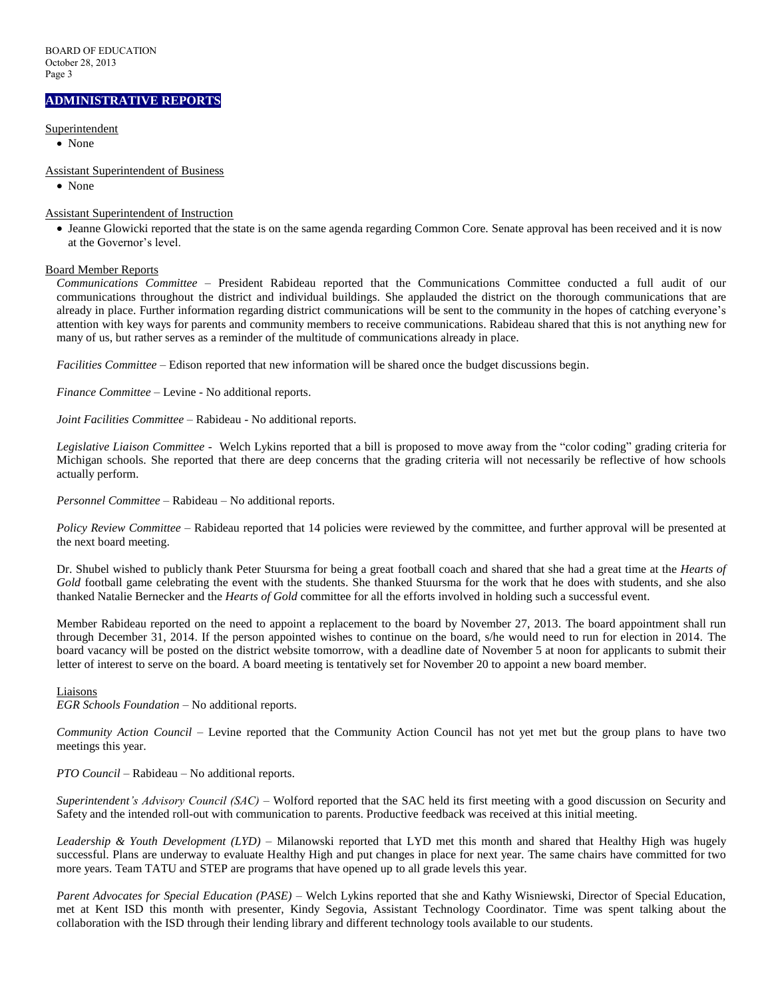## **ADMINISTRATIVE REPORTS**

Superintendent

• None

Assistant Superintendent of Business

• None

Assistant Superintendent of Instruction

 Jeanne Glowicki reported that the state is on the same agenda regarding Common Core. Senate approval has been received and it is now at the Governor's level.

### Board Member Reports

*Communications Committee –* President Rabideau reported that the Communications Committee conducted a full audit of our communications throughout the district and individual buildings. She applauded the district on the thorough communications that are already in place. Further information regarding district communications will be sent to the community in the hopes of catching everyone's attention with key ways for parents and community members to receive communications. Rabideau shared that this is not anything new for many of us, but rather serves as a reminder of the multitude of communications already in place.

*Facilities Committee –* Edison reported that new information will be shared once the budget discussions begin.

*Finance Committee –* Levine - No additional reports.

*Joint Facilities Committee –* Rabideau - No additional reports.

*Legislative Liaison Committee* - Welch Lykins reported that a bill is proposed to move away from the "color coding" grading criteria for Michigan schools. She reported that there are deep concerns that the grading criteria will not necessarily be reflective of how schools actually perform.

*Personnel Committee –* Rabideau – No additional reports.

*Policy Review Committee –* Rabideau reported that 14 policies were reviewed by the committee, and further approval will be presented at the next board meeting.

Dr. Shubel wished to publicly thank Peter Stuursma for being a great football coach and shared that she had a great time at the *Hearts of Gold* football game celebrating the event with the students. She thanked Stuursma for the work that he does with students, and she also thanked Natalie Bernecker and the *Hearts of Gold* committee for all the efforts involved in holding such a successful event.

Member Rabideau reported on the need to appoint a replacement to the board by November 27, 2013. The board appointment shall run through December 31, 2014. If the person appointed wishes to continue on the board, s/he would need to run for election in 2014. The board vacancy will be posted on the district website tomorrow, with a deadline date of November 5 at noon for applicants to submit their letter of interest to serve on the board. A board meeting is tentatively set for November 20 to appoint a new board member.

#### Liaisons

*EGR Schools Foundation –* No additional reports.

*Community Action Council –* Levine reported that the Community Action Council has not yet met but the group plans to have two meetings this year.

*PTO Council –* Rabideau – No additional reports.

*Superintendent's Advisory Council (SAC) –* Wolford reported that the SAC held its first meeting with a good discussion on Security and Safety and the intended roll-out with communication to parents. Productive feedback was received at this initial meeting.

*Leadership & Youth Development (LYD) –* Milanowski reported that LYD met this month and shared that Healthy High was hugely successful. Plans are underway to evaluate Healthy High and put changes in place for next year. The same chairs have committed for two more years. Team TATU and STEP are programs that have opened up to all grade levels this year.

*Parent Advocates for Special Education (PASE) –* Welch Lykins reported that she and Kathy Wisniewski, Director of Special Education, met at Kent ISD this month with presenter, Kindy Segovia, Assistant Technology Coordinator. Time was spent talking about the collaboration with the ISD through their lending library and different technology tools available to our students.